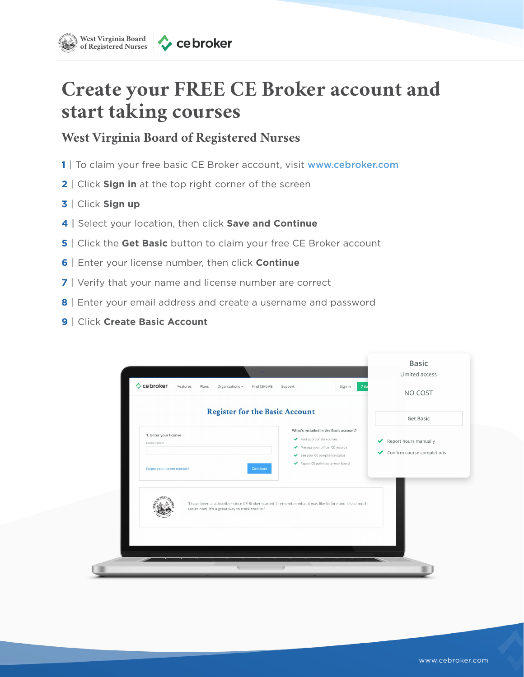

## **Create your FREE CE Broker account and start taking courses**

## **West Virginia Board of Registered Nurses**

- **1 |** To claim your free basic CE Broker account, visit www.cebroker.com
- **2 |** Click **Sign in** at the top right corner of the screen
- **3 |** Click **Sign up**
- **4 |** Select your location, then click **Save and Continue**
- **5 |** Click the **Get Basic** button to claim your free CE Broker account
- **6 |** Enter your license number, then click **Continue**
- **7 |** Verify that your name and license number are correct
- **8 |** Enter your email address and create a username and password
- **9 |** Click **Create Basic Account**

| Cebroker<br>Features<br>Plans<br>Organizations - | 7 da<br>Find CE/CME<br>Sign in<br>Support                                                                                             | NO COST                                                       |
|--------------------------------------------------|---------------------------------------------------------------------------------------------------------------------------------------|---------------------------------------------------------------|
|                                                  | <b>Register for the Basic Account</b>                                                                                                 | <b>Get Basic</b>                                              |
| 1. Enter your license<br>License number          | What's included in the Basic account?<br>Find appropriate courses<br>Manage your official CE records<br>See your CE compliance status | Report hours manually<br>✔<br>Confirm course completions<br>✔ |
| Forgot your license number?                      | Report CE activities to your board<br>Continue                                                                                        |                                                               |
| easier now. It's a great way to track credits."  | "I have been a subscriber since CE Broker started. I remember what it was like before and it's so much                                |                                                               |
|                                                  |                                                                                                                                       |                                                               |